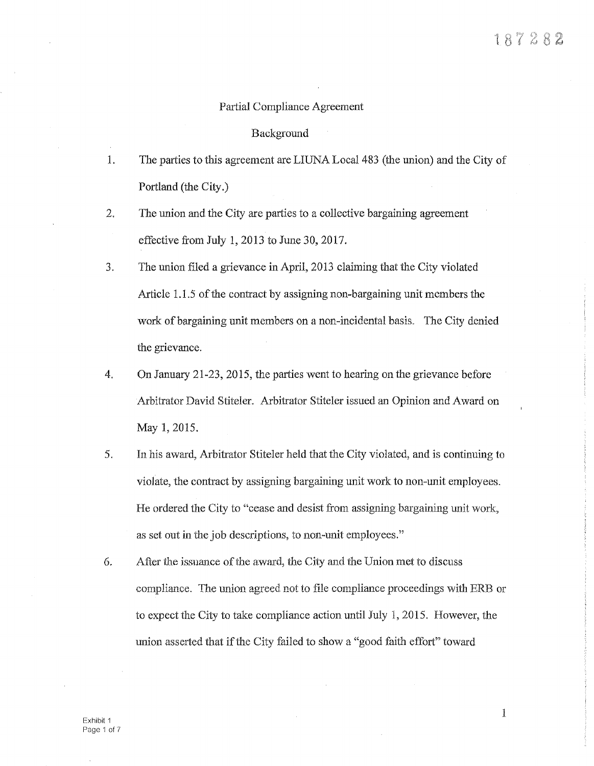# Partial Compliance Agreement

## Background

- 1. The parties to this agreement are LIUNA Local 483 (the union) and the City of Portland (the City.)
- 2. The union and the City are parties to a collective bargaining agreement effective from July 1, 2013 to June 30, 2017.
- 3. The union filed a grievance in April, 2013 claiming that the City violated Article 1.1.5 of the contract by assigning non-bargaining unit members the work of bargaining unit members on a non-incidental basis. The City denied the grievance.
- 4. On January 21-23, 2015, the parties went to hearing on the grievance before Arbitrator David Stiteler. Arbitrator Stiteler issued an Opinion and Award on May 1, 2015.
- 5. In his award, Arbitrator Stiteler held that the City violated, and is continuing to violate, the contract by assigning bargaining unit work to non-unit employees. He ordered the City to "cease and desist from assigning bargaining unit work, as set out in the job descriptions, to non-unit employees."
- 6. After the issuance of the award, the City and the Union met to discuss compliance. The union agreed not to file compliance proceedings with ERB or to expect the City to take compliance action until July 1, 2015. However, the union asserted that if the City failed to show a "good faith effort" toward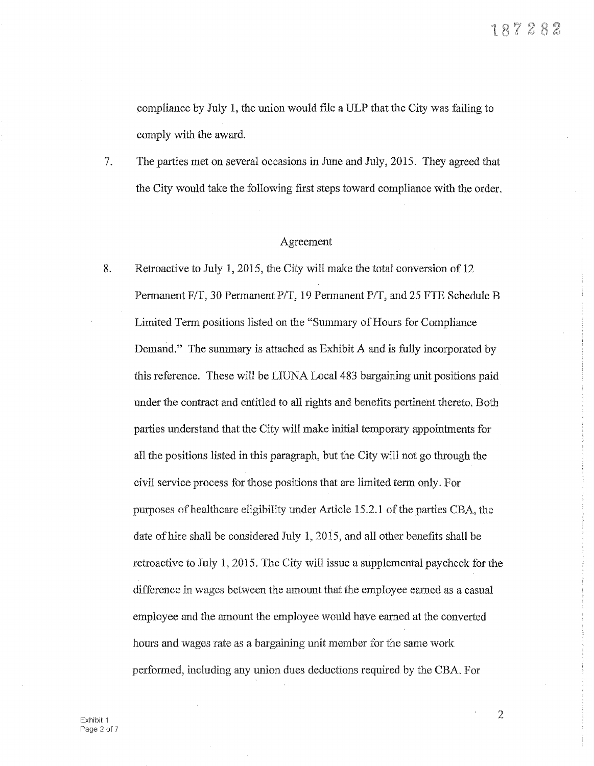compliance by July 1, the union would file a ULP that the City was failing to comply with the award.

7. The parties met on several occasions in June and July, 2015. They agreed that the City would take the following first steps toward compliance with the order.

# Agreement

8. Retroactive to July 1, 2015, the City will make the total conversion of 12 Permanent F/T, 30 Permanent P/T, 19 Permanent P/T, and 25 FTE Schedule B Limited Term positions listed on the "Summary of Hours for Compliance Demand." The summary is attached as Exhibit A and is fully incorporated by this reference. These will be LIUNA Local 483 bargaining unit positions paid under the contract and entitled to all rights and benefits pertinent thereto. Both parties understand that the City will make initial temporary appointments for all the positions listed in this paragraph, but the City will not go through the civil service process for those positions that are limited term only. For purposes of healthcare eligibility under Article 15.2.1 of the parties CBA, the date of hire shall be considered July 1, 2015, and all other benefits shall be retroactive to July 1, 2015. The City will issue a supplemental paycheck for the difference in wages between the amount that the employee earned as a casual employee and the amount the employee would have earned at the converted hours and wages rate as a bargaining unit member for the same work perfonned, including any union dues deductions required by the CBA. For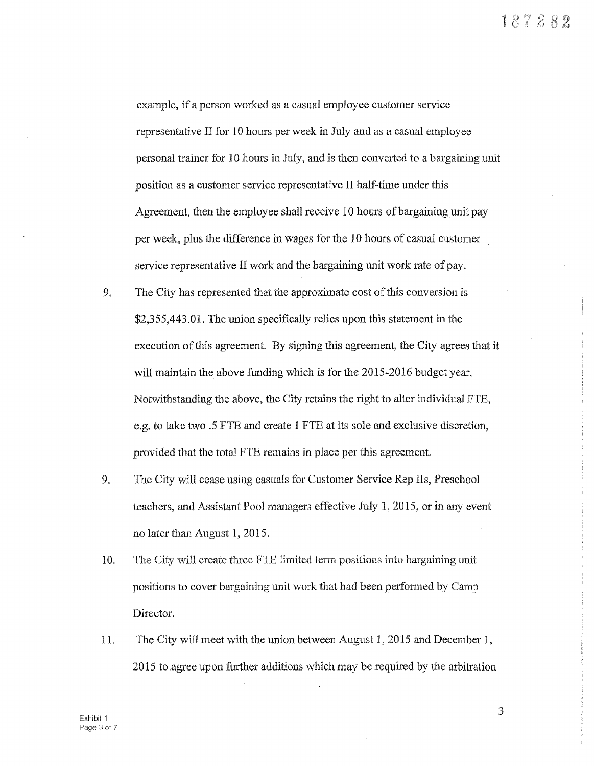example, if a person worked as a casual employee customer service representative II for 10 hours per week in July and as a casual employee personal trainer for 10 hours in July, and is then converted to a bargaining unit position as a customer service representative II half-time under this Agreement, then the employee shall receive 10 hours of bargaining unit pay per week, plus the difference in wages for the 10 hours of casual customer service representative II work and the bargaining unit work rate of pay.

- 9. 'The City has represented that the approximate cost of this conversion is \$2,355,443.01. The union specifically relies upon this statement in the execution of this agreement. By signing this agreement, the City agrees that it will maintain the above funding which is for the 2015-2016 budget year. Notwithstanding the above, the City retains the right to alter individual FTE, e.g. to take two .5 FTE and create **1** FTE at its sole and exclusive discretion, provided that the total FTE remains in place per this agreement.
- 9. The City will cease using casuals for Customer Service Rep IIs, Preschool teachers, and Assistant Pool managers effective July 1, 2015, or in any event no later than August **1,** 2015.
- 10. The City will create three FTE limited term positions into bargaining unit positions to cover bargaining unit work that had been performed by Camp Director.
- 11. The City will meet with the union between August **1,** 2015 and December **1,**  2015 to agree upon further additions which may be required by the arbitration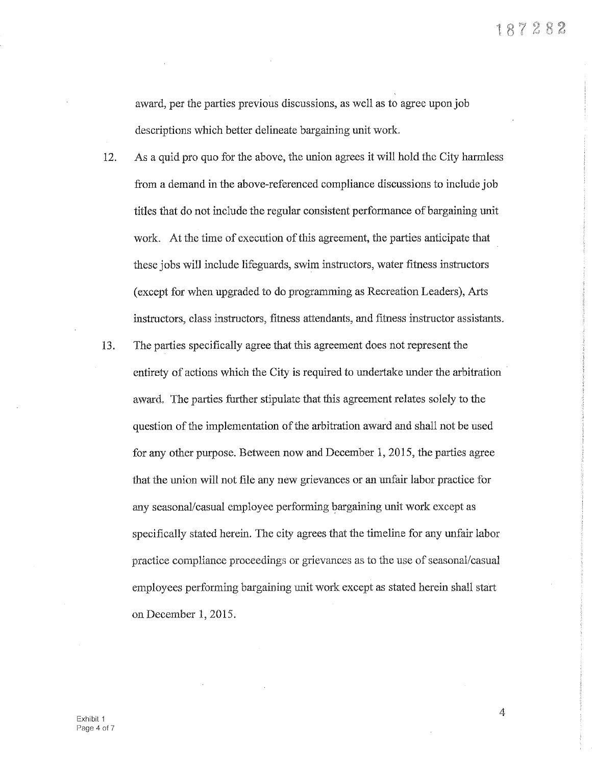award, per the parties previous discussions, as well as to agree upon job descriptions which better delineate bargaining unit work

- 12. As a quid pro quo for the above, the union agrees it will hold the City harmless from a demand in the above-referenced compliance discussions to include job titles that do not include the regular consistent performance of bargaining unit work. At the time of execution of this agreement, the parties anticipate that these jobs will include lifeguards, swim instructors, water fitness instructors (except for when upgraded to do programming as Recreation Leaders), Arts instructors, class instructors, fitness attendants, and fitness instructor assistants.
- 13. The parties specifically agree that this agreement does not represent the entirety of actions which the City is required to undertake under the arbitration award, The parties further stipulate that this agreement relates solely to the question of the implementation of the arbitration award and shall not be used for any other purpose. Between now and December l, 2015, the parties agree that the union will not file any new grievances or an unfair labor practice for any seasonal/casual employee performing bargaining unit work except as specifically stated herein. The city agrees that the timeline for any unfair labor practice compliance proceedings or grievances as to the use of seasonal/casual employees performing bargaining unit work except as stated herein shall start on December 1, 2015.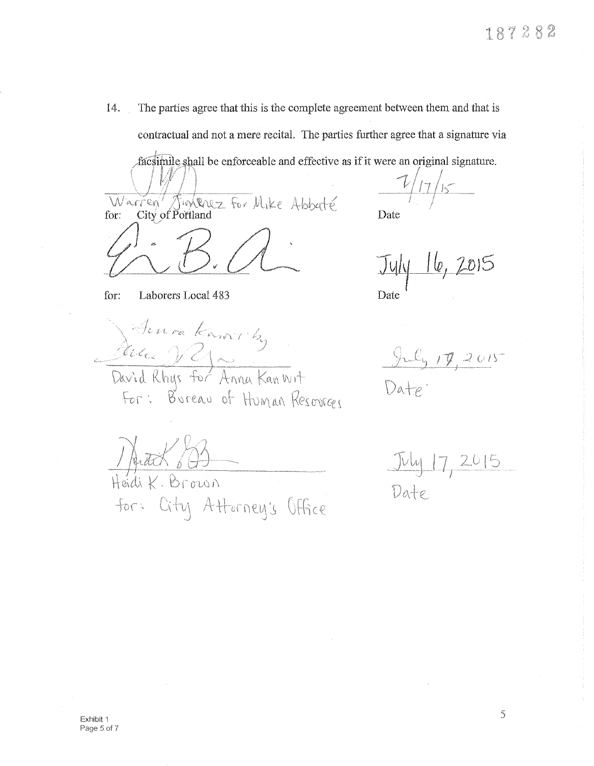14. The parties agree that this is the complete agreement between them and that is contractual and not a mere recital. The parties further agree that a signature via

facsimile shall be enforceable and effective as if it were an original signature.

Warren Junknez For Mike Abbuté

Date

 $July$   $16$ ,  $2015$ 

Date

 $\frac{1}{2} \int_{-\infty}^{\infty} f(x) \, dx \leq C_1 \int_{-\infty}^{\infty} f(x) \, dx$ 

 $Da+_{\varphi}$ .

for: Laborers Local 483

Senra Karovicky

For: Bureau of Human Resources

JAREK 800

for: City Attorney's Office

<u>July 17, 2015</u> Date.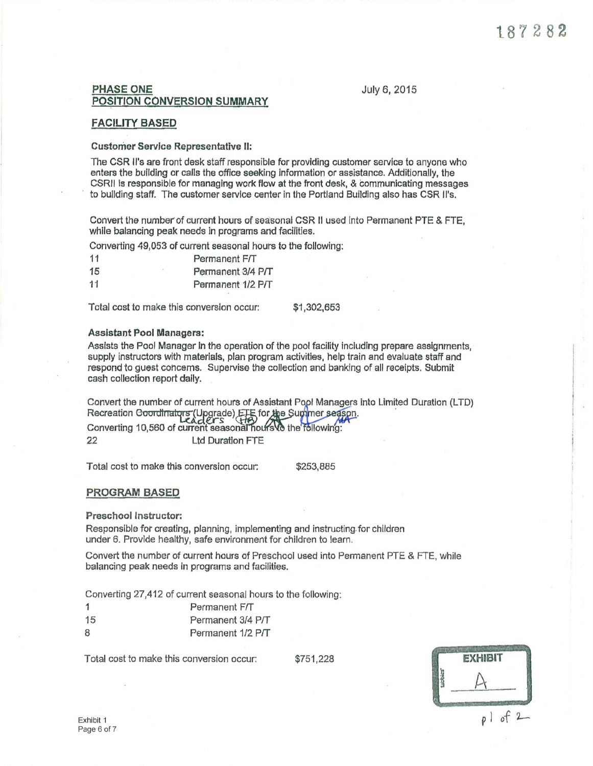# **PHASE ONE** July 6, 2015 POSITION CONVERSION SUMMARY

## FACILITY BASED

### Customer Service Representative II:

The CSR ll's are front desk staff responsible for providing customer service to anyone who enters the building or calls the office seeking Information or assistance. Additionally, the CSRll is responsible for managing work flow at the front desk, & communicating messages *to* building staff. The customer service center in the Portland Building also has CSR ll's.

Convert the number of current hours of seasonal CSR II used into Permanent PTE & FTE, while balancing peak needs in programs and facilities.

Converting 49,053 of current seasonal hours to the following:

| 11 |          | Permanent F/T     |
|----|----------|-------------------|
| 15 | <b>X</b> | Permanent 3/4 P/T |
| 11 |          | Permanent 1/2 P/T |

Total cost to make this conversion occur: \$1,302,653

#### Assistant Pool Managers:

Assists the Pool Manager In the operation of the pool facility including prepare assignments, supply instructors with materials, plan program activities, help train and evaluate staff and respond to guest concerns. Supervise the collection and banking of all receipts. Submit cash collection report daily.

Convert the number of current hours of Assistant Pool Managers into Limited Duration (LTD) Recreation Goordinalors (Upgrade) EHs for the Summer season. Converting 10,560 of current seasonal hours vo the 22 Ltd Duration FTE

Total cost to make this conversion occur: \$253,885

### PROGRAM BASED

#### Preschool Instructor:

Responsible for creating, planning, implementing and instructing. for children under 6. Provide healthy, safe environment for children to learn.

Convert the number of current hours of Preschool used into Permanent PTE & FTE, while balancing peak needs In programs and facilities.

Converting 27,412 of current seasonal hours to the following:

- 1 Permanent Frr
- 15 Permanent 3/4 P/T
- 8 Permanent 1/2 P/T

Total cost to make this conversion occur:  $$751,228$  **EXHIBIT**